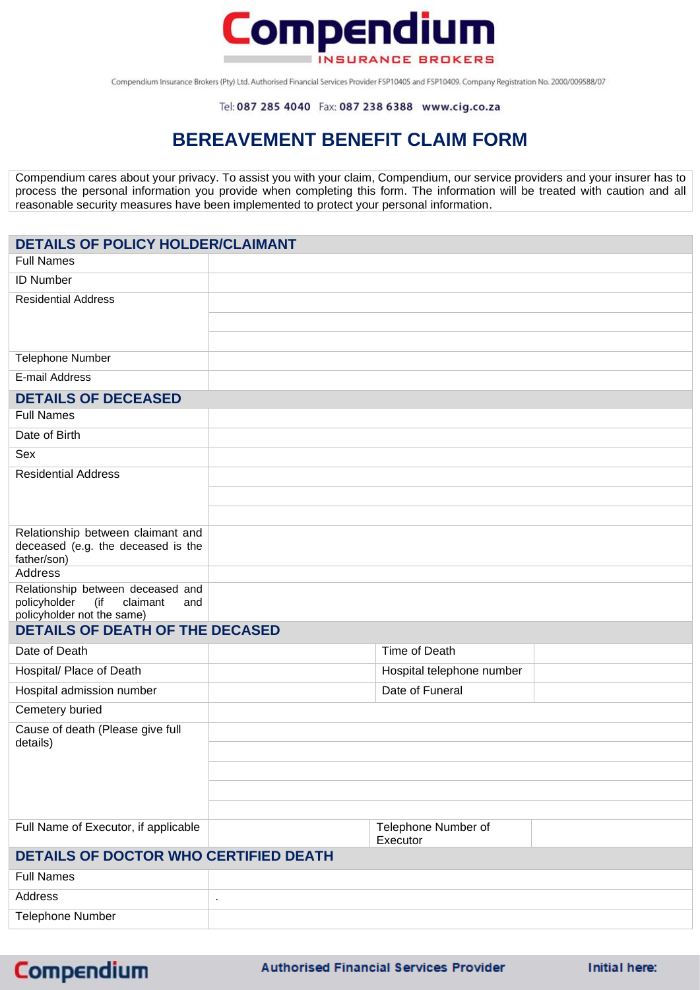

Compendium Insurance Brokers (Pty) Ltd. Authorised Financial Services Provider FSP10405 and FSP10409. Company Registration No. 2000/009588/07

## **BEREAVEMENT BENEFIT CLAIM FORM**

Compendium cares about your privacy. To assist you with your claim, Compendium, our service providers and your insurer has to process the personal information you provide when completing this form. The information will be treated with caution and all reasonable security measures have been implemented to protect your personal information.

## **DETAILS OF POLICY HOLDER/CLAIMANT**

| <b>Full Names</b>                                                           |                                 |  |
|-----------------------------------------------------------------------------|---------------------------------|--|
| <b>ID Number</b>                                                            |                                 |  |
| <b>Residential Address</b>                                                  |                                 |  |
|                                                                             |                                 |  |
|                                                                             |                                 |  |
| <b>Telephone Number</b>                                                     |                                 |  |
| E-mail Address                                                              |                                 |  |
| <b>DETAILS OF DECEASED</b>                                                  |                                 |  |
| <b>Full Names</b>                                                           |                                 |  |
| Date of Birth                                                               |                                 |  |
| Sex                                                                         |                                 |  |
| <b>Residential Address</b>                                                  |                                 |  |
|                                                                             |                                 |  |
|                                                                             |                                 |  |
| Relationship between claimant and                                           |                                 |  |
| deceased (e.g. the deceased is the<br>father/son)                           |                                 |  |
| <b>Address</b>                                                              |                                 |  |
| Relationship between deceased and<br>(if<br>policyholder<br>claimant<br>and |                                 |  |
| policyholder not the same)<br><b>DETAILS OF DEATH OF THE DECASED</b>        |                                 |  |
| Date of Death                                                               | Time of Death                   |  |
|                                                                             |                                 |  |
| Hospital/ Place of Death                                                    | Hospital telephone number       |  |
| Hospital admission number                                                   | Date of Funeral                 |  |
| Cemetery buried                                                             |                                 |  |
| Cause of death (Please give full<br>details)                                |                                 |  |
|                                                                             |                                 |  |
|                                                                             |                                 |  |
|                                                                             |                                 |  |
|                                                                             |                                 |  |
| Full Name of Executor, if applicable                                        | Telephone Number of<br>Executor |  |
| <b>DETAILS OF DOCTOR WHO CERTIFIED DEATH</b>                                |                                 |  |
| <b>Full Names</b>                                                           |                                 |  |
| Address                                                                     | $\blacksquare$                  |  |
| <b>Telephone Number</b>                                                     |                                 |  |